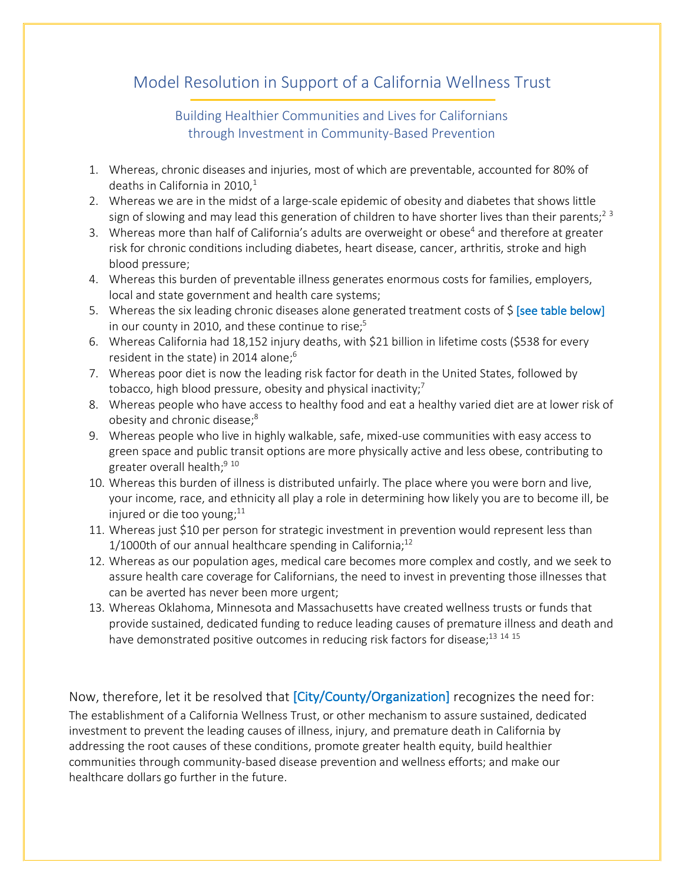## Model Resolution in Support of a California Wellness Trust

Building Healthier Communities and Lives for Californians through Investment in Community-Based Prevention

- 1. Whereas, chronic diseases and injuries, most of which are preventable, accounted for 80% of deaths in California in 2010, $1$
- 2. Whereas we are in the midst of a large-scale epidemic of obesity and diabetes that shows little sign of slowing and may lead this generation of children to have shorter lives than their parents;<sup>2</sup>  $3$
- 3. Whereas more than half of California's adults are overweight or obese<sup>4</sup> and therefore at greater risk for chronic conditions including diabetes, heart disease, cancer, arthritis, stroke and high blood pressure;
- 4. Whereas this burden of preventable illness generates enormous costs for families, employers, local and state government and health care systems;
- 5. Whereas the six leading chronic diseases alone generated treatment costs of  $\zeta$  [see table below] in our county in 2010, and these continue to rise; $5$
- 6. Whereas California had 18,152 injury deaths, with \$21 billion in lifetime costs (\$538 for every resident in the state) in 2014 alone; $6$
- 7. Whereas poor diet is now the leading risk factor for death in the United States, followed by tobacco, high blood pressure, obesity and physical inactivity;<sup>7</sup>
- 8. Whereas people who have access to healthy food and eat a healthy varied diet are at lower risk of obesity and chronic disease;<sup>8</sup>
- 9. Whereas people who live in highly walkable, safe, mixed-use communities with easy access to green space and public transit options are more physically active and less obese, contributing to greater overall health;<sup>9 10</sup>
- 10. Whereas this burden of illness is distributed unfairly. The place where you were born and live, your income, race, and ethnicity all play a role in determining how likely you are to become ill, be injured or die too young; $^{11}$
- 11. Whereas just \$10 per person for strategic investment in prevention would represent less than 1/1000th of our annual healthcare spending in California; $^{12}$
- 12. Whereas as our population ages, medical care becomes more complex and costly, and we seek to assure health care coverage for Californians, the need to invest in preventing those illnesses that can be averted has never been more urgent;
- 13. Whereas Oklahoma, Minnesota and Massachusetts have created wellness trusts or funds that provide sustained, dedicated funding to reduce leading causes of premature illness and death and have demonstrated positive outcomes in reducing risk factors for disease;<sup>13 14 15</sup>

Now, therefore, let it be resolved that [City/County/Organization] recognizes the need for: The establishment of a California Wellness Trust, or other mechanism to assure sustained, dedicated investment to prevent the leading causes of illness, injury, and premature death in California by addressing the root causes of these conditions, promote greater health equity, build healthier communities through community-based disease prevention and wellness efforts; and make our healthcare dollars go further in the future.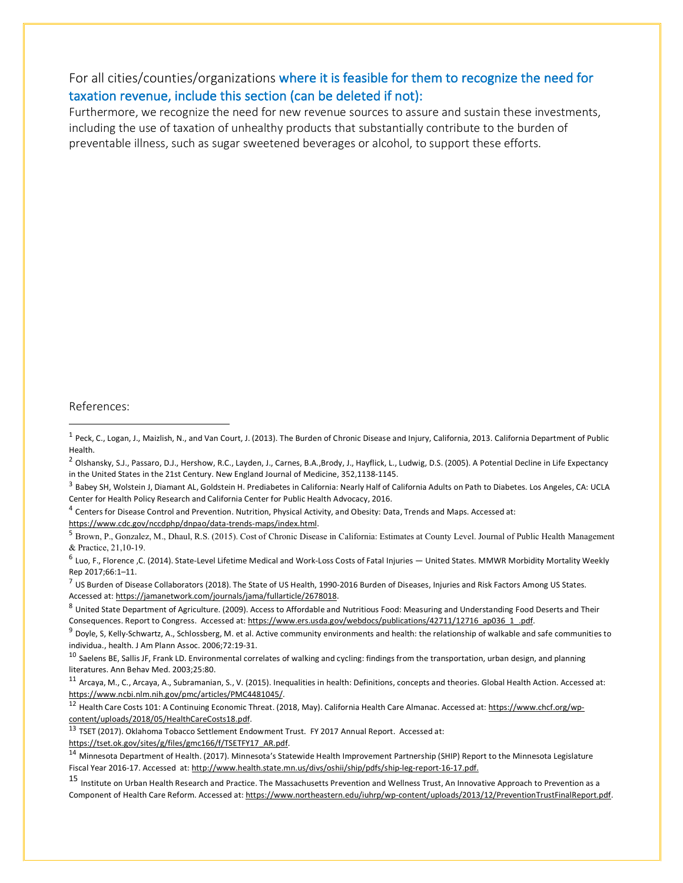## For all cities/counties/organizations where it is feasible for them to recognize the need for taxation revenue, include this section (can be deleted if not):

Furthermore, we recognize the need for new revenue sources to assure and sustain these investments, including the use of taxation of unhealthy products that substantially contribute to the burden of preventable illness, such as sugar sweetened beverages or alcohol, to support these efforts.

## References:

 $\overline{a}$ 

<sup>4</sup> Centers for Disease Control and Prevention. Nutrition, Physical Activity, and Obesity: Data, Trends and Maps. Accessed at: https://www.cdc.gov/nccdphp/dnpao/data-trends-maps/index.html.

<sup>5</sup> Brown, P., Gonzalez, M., Dhaul, R.S. (2015). Cost of Chronic Disease in California: Estimates at County Level. Journal of Public Health Management & Practice, 21,10-19.

 $6$  Luo, F., Florence ,C. (2014). State-Level Lifetime Medical and Work-Loss Costs of Fatal Injuries  $-$  United States. MMWR Morbidity Mortality Weekly Rep 2017;66:1–11.

 $^7$  US Burden of Disease Collaborators (2018). The State of US Health, 1990-2016 Burden of Diseases, Injuries and Risk Factors Among US States. Accessed at: https://jamanetwork.com/journals/jama/fullarticle/2678018.

 $9$  Doyle, S, Kelly-Schwartz, A., Schlossberg, M. et al. Active community environments and health: the relationship of walkable and safe communities to individua., health. J Am Plann Assoc. 2006;72:19-31.

 $10$  Saelens BE, Sallis JF, Frank LD. Environmental correlates of walking and cycling: findings from the transportation, urban design, and planning literatures. Ann Behav Med. 2003;25:80.

 $11$  Arcaya, M., C., Arcaya, A., Subramanian, S., V. (2015). Inequalities in health: Definitions, concepts and theories. Global Health Action. Accessed at: https://www.ncbi.nlm.nih.gov/pmc/articles/PMC4481045/.

<sup>12</sup> Health Care Costs 101: A Continuing Economic Threat. (2018, May). California Health Care Almanac. Accessed at: https://www.chcf.org/wpcontent/uploads/2018/05/HealthCareCosts18.pdf.

<sup>13</sup> TSET (2017). Oklahoma Tobacco Settlement Endowment Trust. FY 2017 Annual Report. Accessed at:

https://tset.ok.gov/sites/g/files/gmc166/f/TSETFY17\_AR.pdf.

<sup>15</sup> Institute on Urban Health Research and Practice. The Massachusetts Prevention and Wellness Trust, An Innovative Approach to Prevention as a Component of Health Care Reform. Accessed at: https://www.northeastern.edu/iuhrp/wp-content/uploads/2013/12/PreventionTrustFinalReport.pdf.

 $1$  Peck, C., Logan, J., Maizlish, N., and Van Court, J. (2013). The Burden of Chronic Disease and Injury, California, 2013. California Department of Public Health.

 $^2$  Olshansky, S.J., Passaro, D.J., Hershow, R.C., Layden, J., Carnes, B.A.,Brody, J., Hayflick, L., Ludwig, D.S. (2005). A Potential Decline in Life Expectancy in the United States in the 21st Century. New England Journal of Medicine, 352,1138-1145.

<sup>&</sup>lt;sup>3</sup> Babey SH, Wolstein J, Diamant AL, Goldstein H. Prediabetes in California: Nearly Half of California Adults on Path to Diabetes. Los Angeles, CA: UCLA Center for Health Policy Research and California Center for Public Health Advocacy, 2016.

<sup>8</sup> United State Department of Agriculture. (2009). Access to Affordable and Nutritious Food: Measuring and Understanding Food Deserts and Their Consequences. Report to Congress. Accessed at: https://www.ers.usda.gov/webdocs/publications/42711/12716\_ap036\_1\_.pdf.

<sup>14</sup> Minnesota Department of Health. (2017). Minnesota's Statewide Health Improvement Partnership (SHIP) Report to the Minnesota Legislature Fiscal Year 2016-17. Accessed at: http://www.health.state.mn.us/divs/oshii/ship/pdfs/ship-leg-report-16-17.pdf.